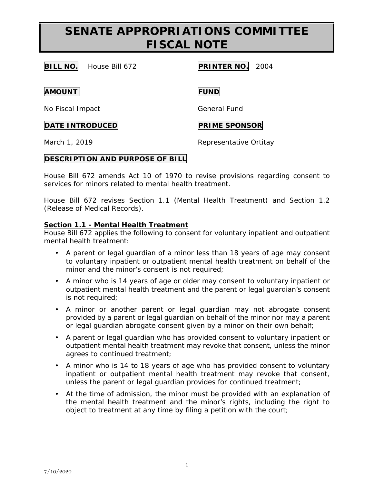# **SENATE APPROPRIATIONS COMMITTEE FISCAL NOTE**

**BILL NO.** House Bill 672 **PRINTER NO.** 2004

**AMOUNT FUND**

No Fiscal Impact General Fund

### **DATE INTRODUCED PRIME SPONSOR**

March 1, 2019 **Representative Ortitay** 

### **DESCRIPTION AND PURPOSE OF BILL**

House Bill 672 amends Act 10 of 1970 to revise provisions regarding consent to services for minors related to mental health treatment.

House Bill 672 revises Section 1.1 (Mental Health Treatment) and Section 1.2 (Release of Medical Records).

### **Section 1.1 - Mental Health Treatment**

House Bill 672 applies the following to consent for voluntary inpatient and outpatient mental health treatment:

- A parent or legal guardian of a minor less than 18 years of age may consent to voluntary inpatient or outpatient mental health treatment on behalf of the minor and the minor's consent is not required;
- A minor who is 14 years of age or older may consent to voluntary inpatient or outpatient mental health treatment and the parent or legal guardian's consent is not required;
- A minor or another parent or legal guardian may not abrogate consent provided by a parent or legal guardian on behalf of the minor nor may a parent or legal guardian abrogate consent given by a minor on their own behalf;
- A parent or legal guardian who has provided consent to voluntary inpatient or outpatient mental health treatment may revoke that consent, unless the minor agrees to continued treatment;
- A minor who is 14 to 18 years of age who has provided consent to voluntary inpatient or outpatient mental health treatment may revoke that consent, unless the parent or legal guardian provides for continued treatment;
- At the time of admission, the minor must be provided with an explanation of the mental health treatment and the minor's rights, including the right to object to treatment at any time by filing a petition with the court;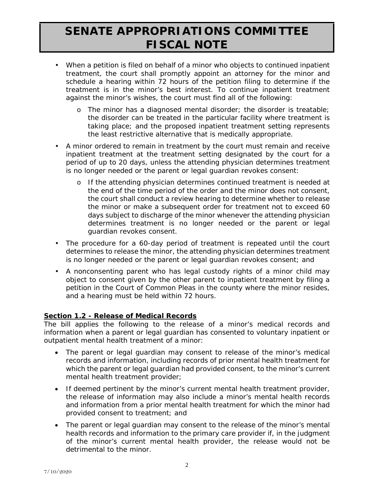# **SENATE APPROPRIATIONS COMMITTEE FISCAL NOTE**

- When a petition is filed on behalf of a minor who objects to continued inpatient treatment, the court shall promptly appoint an attorney for the minor and schedule a hearing within 72 hours of the petition filing to determine if the treatment is in the minor's best interest. To continue inpatient treatment against the minor's wishes, the court must find all of the following:
	- o The minor has a diagnosed mental disorder; the disorder is treatable; the disorder can be treated in the particular facility where treatment is taking place; and the proposed inpatient treatment setting represents the least restrictive alternative that is medically appropriate.
- A minor ordered to remain in treatment by the court must remain and receive inpatient treatment at the treatment setting designated by the court for a period of up to 20 days, unless the attending physician determines treatment is no longer needed or the parent or legal guardian revokes consent:
	- o If the attending physician determines continued treatment is needed at the end of the time period of the order and the minor does not consent, the court shall conduct a review hearing to determine whether to release the minor or make a subsequent order for treatment not to exceed 60 days subject to discharge of the minor whenever the attending physician determines treatment is no longer needed or the parent or legal guardian revokes consent.
- The procedure for a 60-day period of treatment is repeated until the court determines to release the minor, the attending physician determines treatment is no longer needed or the parent or legal guardian revokes consent; and
- A nonconsenting parent who has legal custody rights of a minor child may object to consent given by the other parent to inpatient treatment by filing a petition in the Court of Common Pleas in the county where the minor resides, and a hearing must be held within 72 hours.

#### **Section 1.2 - Release of Medical Records**

The bill applies the following to the release of a minor's medical records and information when a parent or legal guardian has consented to voluntary inpatient or outpatient mental health treatment of a minor:

- The parent or legal guardian may consent to release of the minor's medical records and information, including records of prior mental health treatment for which the parent or legal guardian had provided consent, to the minor's current mental health treatment provider;
- If deemed pertinent by the minor's current mental health treatment provider, the release of information may also include a minor's mental health records and information from a prior mental health treatment for which the minor had provided consent to treatment; and
- The parent or legal guardian may consent to the release of the minor's mental health records and information to the primary care provider if, in the judgment of the minor's current mental health provider, the release would not be detrimental to the minor.